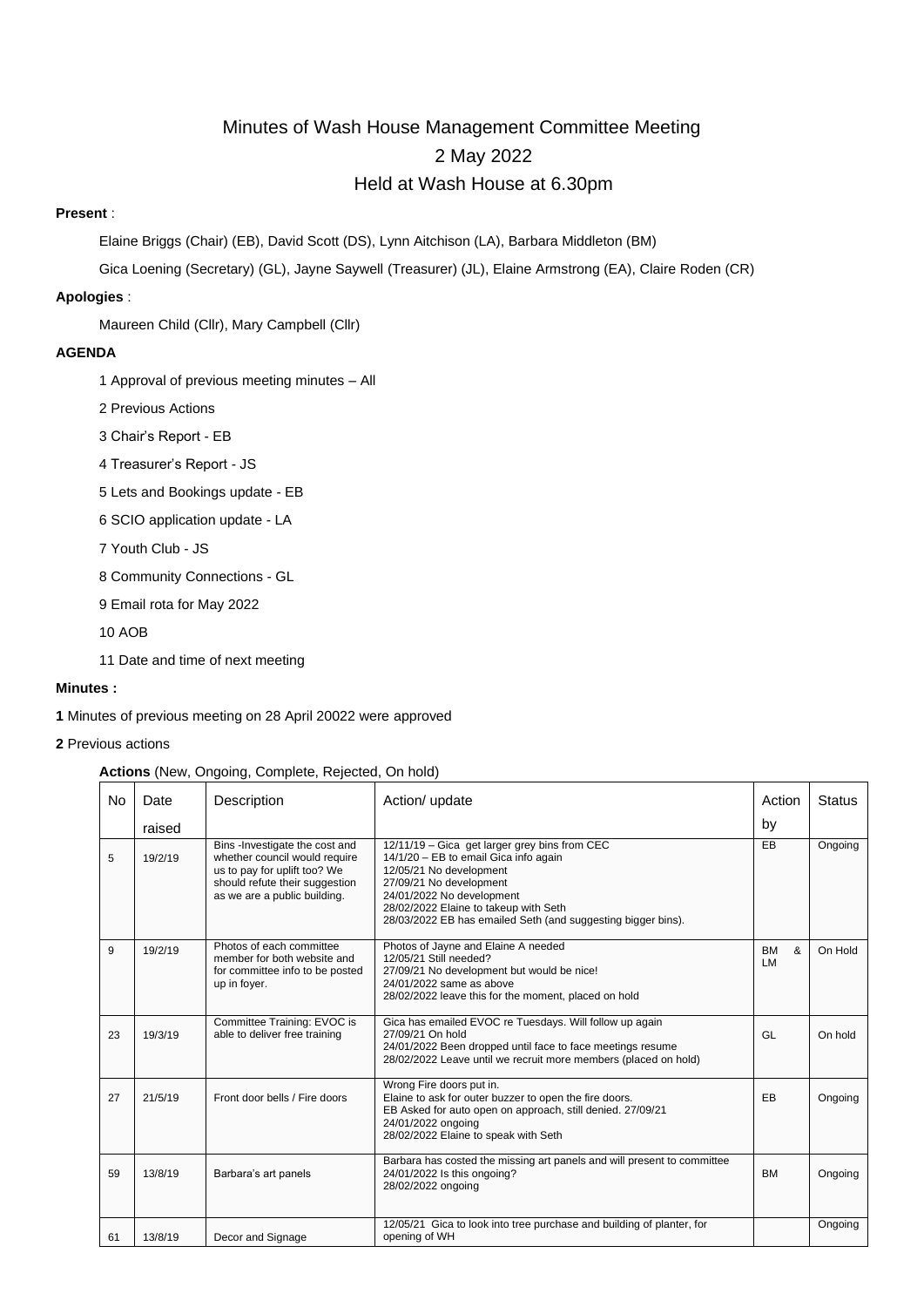# Minutes of Wash House Management Committee Meeting 2 May 2022 Held at Wash House at 6.30pm

# **Present** :

Elaine Briggs (Chair) (EB), David Scott (DS), Lynn Aitchison (LA), Barbara Middleton (BM)

Gica Loening (Secretary) (GL), Jayne Saywell (Treasurer) (JL), Elaine Armstrong (EA), Claire Roden (CR)

# **Apologies** :

Maureen Child (Cllr), Mary Campbell (Cllr)

# **AGENDA**

- 1 Approval of previous meeting minutes All
- 2 Previous Actions
- 3 Chair's Report EB
- 4 Treasurer's Report JS
- 5 Lets and Bookings update EB
- 6 SCIO application update LA
- 7 Youth Club JS
- 8 Community Connections GL
- 9 Email rota for May 2022
- 10 AOB
- 11 Date and time of next meeting

# **Minutes :**

- **1** Minutes of previous meeting on 28 April 20022 were approved
- **2** Previous actions

# **Actions** (New, Ongoing, Complete, Rejected, On hold)

| No | Date    | Description                                                                                                                                                       | Action/ update                                                                                                                                                                                                                                                                     | Action               | <b>Status</b> |
|----|---------|-------------------------------------------------------------------------------------------------------------------------------------------------------------------|------------------------------------------------------------------------------------------------------------------------------------------------------------------------------------------------------------------------------------------------------------------------------------|----------------------|---------------|
|    | raised  |                                                                                                                                                                   |                                                                                                                                                                                                                                                                                    | by                   |               |
| 5  | 19/2/19 | Bins -Investigate the cost and<br>whether council would require<br>us to pay for uplift too? We<br>should refute their suggestion<br>as we are a public building. | 12/11/19 - Gica get larger grey bins from CEC<br>14/1/20 - EB to email Gica info again<br>12/05/21 No development<br>27/09/21 No development<br>24/01/2022 No development<br>28/02/2022 Elaine to takeup with Seth<br>28/03/2022 EB has emailed Seth (and suggesting bigger bins). | EB                   | Ongoing       |
| 9  | 19/2/19 | Photos of each committee<br>member for both website and<br>for committee info to be posted<br>up in foyer.                                                        | Photos of Jayne and Elaine A needed<br>12/05/21 Still needed?<br>27/09/21 No development but would be nice!<br>24/01/2022 same as above<br>28/02/2022 leave this for the moment, placed on hold                                                                                    | <b>BM</b><br>&<br>LM | On Hold       |
| 23 | 19/3/19 | Committee Training: EVOC is<br>able to deliver free training                                                                                                      | Gica has emailed EVOC re Tuesdays. Will follow up again<br>27/09/21 On hold<br>24/01/2022 Been dropped until face to face meetings resume<br>28/02/2022 Leave until we recruit more members (placed on hold)                                                                       | GL                   | On hold       |
| 27 | 21/5/19 | Front door bells / Fire doors                                                                                                                                     | Wrong Fire doors put in.<br>Elaine to ask for outer buzzer to open the fire doors.<br>EB Asked for auto open on approach, still denied. 27/09/21<br>24/01/2022 ongoing<br>28/02/2022 Elaine to speak with Seth                                                                     | EB                   | Ongoing       |
| 59 | 13/8/19 | Barbara's art panels                                                                                                                                              | Barbara has costed the missing art panels and will present to committee<br>24/01/2022 Is this ongoing?<br>28/02/2022 ongoing                                                                                                                                                       | <b>BM</b>            | Ongoing       |
| 61 | 13/8/19 | Decor and Signage                                                                                                                                                 | 12/05/21 Gica to look into tree purchase and building of planter, for<br>opening of WH                                                                                                                                                                                             |                      | Ongoing       |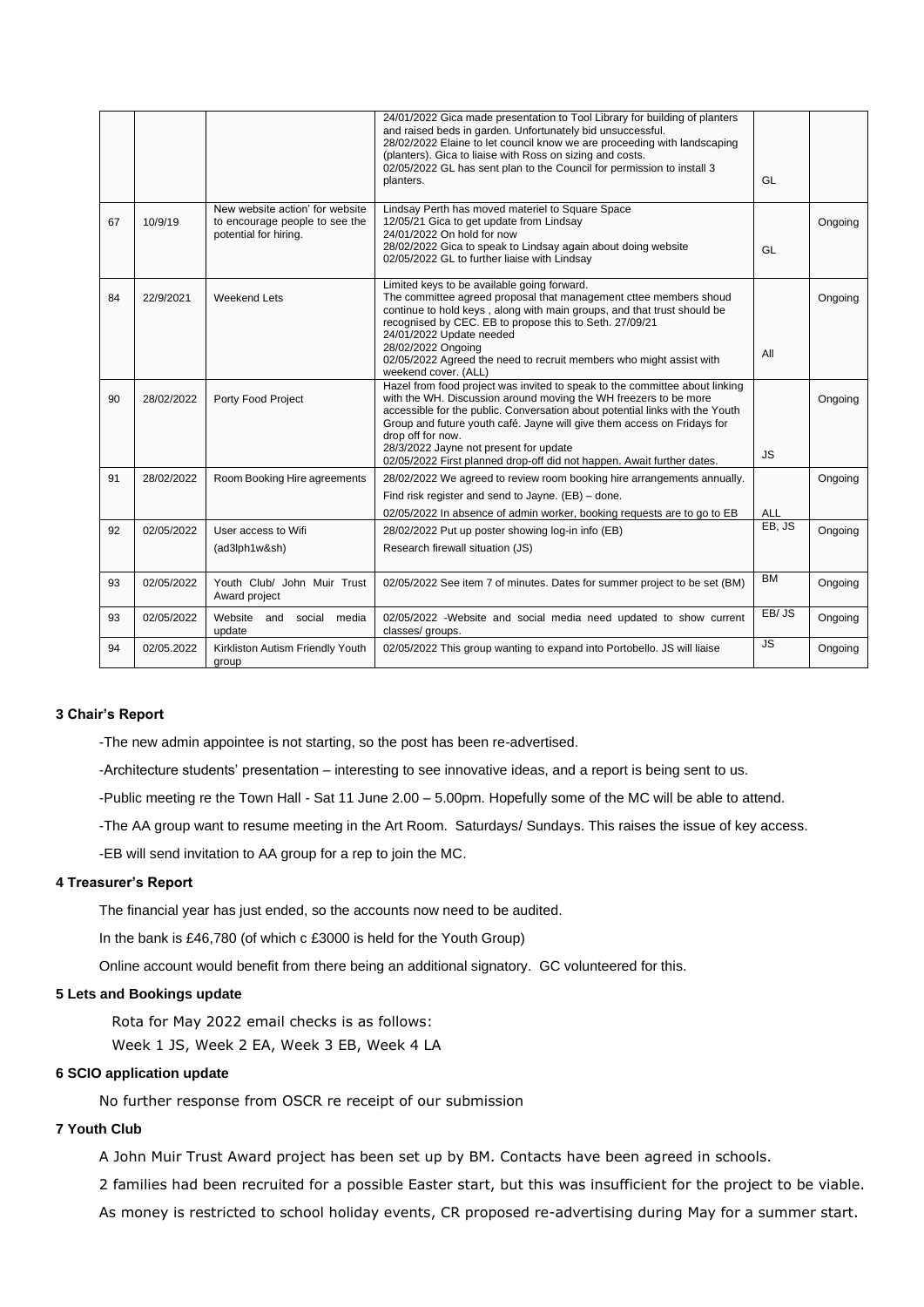|    |            |                                                                                            | 24/01/2022 Gica made presentation to Tool Library for building of planters<br>and raised beds in garden. Unfortunately bid unsuccessful.<br>28/02/2022 Elaine to let council know we are proceeding with landscaping<br>(planters). Gica to liaise with Ross on sizing and costs.<br>02/05/2022 GL has sent plan to the Council for permission to install 3<br>planters.                                                                            | GL        |         |
|----|------------|--------------------------------------------------------------------------------------------|-----------------------------------------------------------------------------------------------------------------------------------------------------------------------------------------------------------------------------------------------------------------------------------------------------------------------------------------------------------------------------------------------------------------------------------------------------|-----------|---------|
| 67 | 10/9/19    | New website action' for website<br>to encourage people to see the<br>potential for hiring. | Lindsay Perth has moved materiel to Square Space<br>12/05/21 Gica to get update from Lindsay<br>24/01/2022 On hold for now<br>28/02/2022 Gica to speak to Lindsay again about doing website<br>02/05/2022 GL to further liaise with Lindsay                                                                                                                                                                                                         | GL        | Ongoing |
| 84 | 22/9/2021  | <b>Weekend Lets</b>                                                                        | Limited keys to be available going forward.<br>The committee agreed proposal that management cttee members shoud<br>continue to hold keys, along with main groups, and that trust should be<br>recognised by CEC. EB to propose this to Seth. 27/09/21<br>24/01/2022 Update needed<br>28/02/2022 Ongoing<br>02/05/2022 Agreed the need to recruit members who might assist with<br>weekend cover. (ALL)                                             | All       | Ongoing |
| 90 | 28/02/2022 | Porty Food Project                                                                         | Hazel from food project was invited to speak to the committee about linking<br>with the WH. Discussion around moving the WH freezers to be more<br>accessible for the public. Conversation about potential links with the Youth<br>Group and future youth café. Jayne will give them access on Fridays for<br>drop off for now.<br>28/3/2022 Jayne not present for update<br>02/05/2022 First planned drop-off did not happen. Await further dates. | <b>JS</b> | Ongoing |
| 91 | 28/02/2022 | Room Booking Hire agreements                                                               | 28/02/2022 We agreed to review room booking hire arrangements annually.<br>Find risk register and send to Jayne. (EB) - done.<br>02/05/2022 In absence of admin worker, booking requests are to go to EB                                                                                                                                                                                                                                            | ALL       | Ongoing |
| 92 | 02/05/2022 | User access to Wifi<br>(ad3lph1w&sh)                                                       | 28/02/2022 Put up poster showing log-in info (EB)<br>Research firewall situation (JS)                                                                                                                                                                                                                                                                                                                                                               | EB, JS    | Ongoing |
| 93 | 02/05/2022 | Youth Club/ John Muir Trust<br>Award project                                               | 02/05/2022 See item 7 of minutes. Dates for summer project to be set (BM)                                                                                                                                                                                                                                                                                                                                                                           | <b>BM</b> | Ongoing |
| 93 | 02/05/2022 | Website<br>and<br>social<br>media<br>update                                                | 02/05/2022 -Website and social media need updated to show current<br>classes/ groups.                                                                                                                                                                                                                                                                                                                                                               | EB/JS     | Ongoing |
| 94 | 02/05.2022 | Kirkliston Autism Friendly Youth<br>group                                                  | 02/05/2022 This group wanting to expand into Portobello. JS will liaise                                                                                                                                                                                                                                                                                                                                                                             | <b>JS</b> | Ongoing |

#### **3 Chair's Report**

-The new admin appointee is not starting, so the post has been re-advertised.

-Architecture students' presentation – interesting to see innovative ideas, and a report is being sent to us.

-Public meeting re the Town Hall - Sat 11 June 2.00 – 5.00pm. Hopefully some of the MC will be able to attend.

-The AA group want to resume meeting in the Art Room. Saturdays/ Sundays. This raises the issue of key access.

-EB will send invitation to AA group for a rep to join the MC.

#### **4 Treasurer's Report**

The financial year has just ended, so the accounts now need to be audited.

In the bank is £46,780 (of which c £3000 is held for the Youth Group)

Online account would benefit from there being an additional signatory. GC volunteered for this.

# **5 Lets and Bookings update**

Rota for May 2022 email checks is as follows:

Week 1 JS, Week 2 EA, Week 3 EB, Week 4 LA

# **6 SCIO application update**

No further response from OSCR re receipt of our submission

# **7 Youth Club**

A John Muir Trust Award project has been set up by BM. Contacts have been agreed in schools.

2 families had been recruited for a possible Easter start, but this was insufficient for the project to be viable.

As money is restricted to school holiday events, CR proposed re-advertising during May for a summer start.